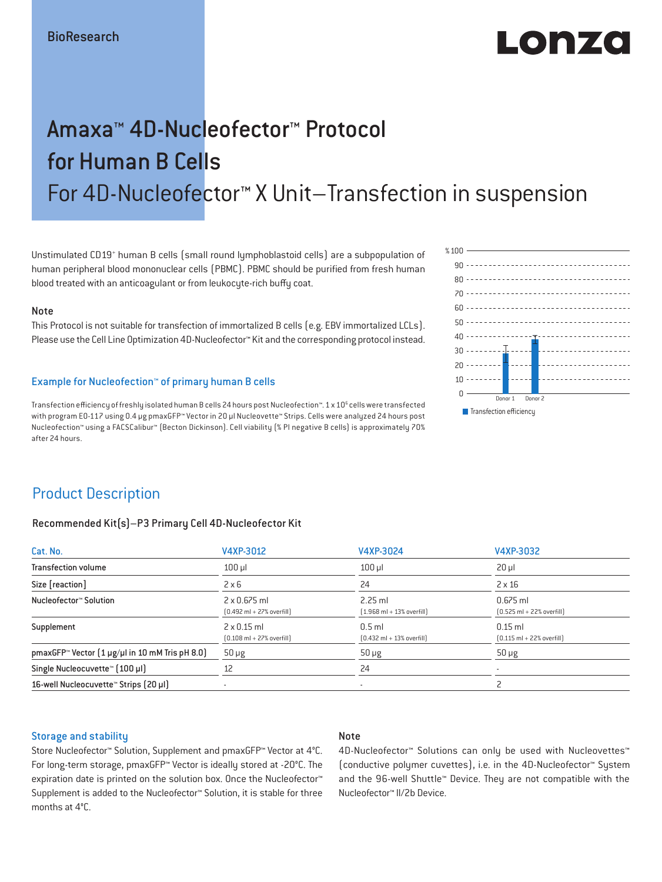# LONZO

## Amaxa™ 4D-Nucleofector™ Protocol for Human B Cells For 4D-Nucleofector™ X Unit–Transfection in suspension

Unstimulated CD19<sup>+</sup> human B cells (small round lymphoblastoid cells) are a subpopulation of human peripheral blood mononuclear cells (PBMC). PBMC should be purified from fresh human blood treated with an anticoagulant or from leukocyte-rich buffy coat.

#### Note

This Protocol is not suitable for transfection of immortalized B cells (e.g. EBV immortalized LCLs). Please use the Cell Line Optimization 4D-Nucleofector™ Kit and the corresponding protocol instead.

#### Example for Nucleofection™ of primary human B cells

Transfection efficiency of freshly isolated human B cells 24 hours post Nucleofection™. 1 x 10<sup>6</sup> cells were transfected with program EO-117 using 0.4 μg pmaxGFP™ Vector in 20 µl Nucleovette™ Strips. Cells were analyzed 24 hours post Nucleofection™ using a FACSCalibur™ (Becton Dickinson). Cell viability (% PI negative B cells) is approximately 70% after 24 hours.



### Product Description

#### Recommended Kit(s)–P3 Primary Cell 4D-Nucleofector Kit

| Cat. No.                                                          | V4XP-3012                                                           | V4XP-3024                                                 | V4XP-3032                                                  |  |
|-------------------------------------------------------------------|---------------------------------------------------------------------|-----------------------------------------------------------|------------------------------------------------------------|--|
| <b>Transfection volume</b>                                        | $100$ $\mu$                                                         | $100$ $\mu$                                               | $20 \mu$                                                   |  |
| Size [reaction]                                                   | $2 \times 6$                                                        | 24                                                        | $2 \times 16$                                              |  |
| Nucleofector™ Solution                                            | $2 \times 0.675$ ml<br>$[0.492 \text{ ml} + 27\% \text{ overfill}]$ | $2.25$ ml<br>$[1.968 \text{ ml} + 13\% \text{ overfill}]$ | $0.675$ ml<br>$[0.525 \text{ ml} + 22\% \text{ overfill}]$ |  |
| Supplement                                                        | $2 \times 0.15$ ml<br>$[0.108 \text{ ml} + 27\% \text{ overfill}]$  | $0.5$ ml<br>$[0.432 \text{ ml} + 13\% \text{ overfill}]$  | $0.15$ ml<br>$[0.115 \text{ ml} + 22\% \text{ overfill}]$  |  |
| pmaxGFP <sup>*</sup> Vector $[1 \mu g/\mu]$ in 10 mM Tris pH 8.0) | $50 \mu g$                                                          | $50 \mu g$                                                | $50 \mu g$                                                 |  |
| Single Nucleocuvette <sup>™</sup> [100 µl]                        | 12                                                                  | 24                                                        |                                                            |  |
| 16-well Nucleocuvette <sup>™</sup> Strips [20 µl]                 | $\overline{\phantom{a}}$                                            | $\overline{\phantom{a}}$                                  |                                                            |  |

#### Storage and stability

#### Note

Store Nucleofector™ Solution, Supplement and pmaxGFP™ Vector at 4°C. For long-term storage, pmaxGFP™ Vector is ideally stored at -20°C. The expiration date is printed on the solution box. Once the Nucleofector™ Supplement is added to the Nucleofector™ Solution, it is stable for three months at 4°C.

4D-Nucleofector™ Solutions can only be used with Nucleovettes™ (conductive polymer cuvettes), i.e. in the 4D-Nucleofector™ System and the 96-well Shuttle™ Device. They are not compatible with the Nucleofector™ II/2b Device.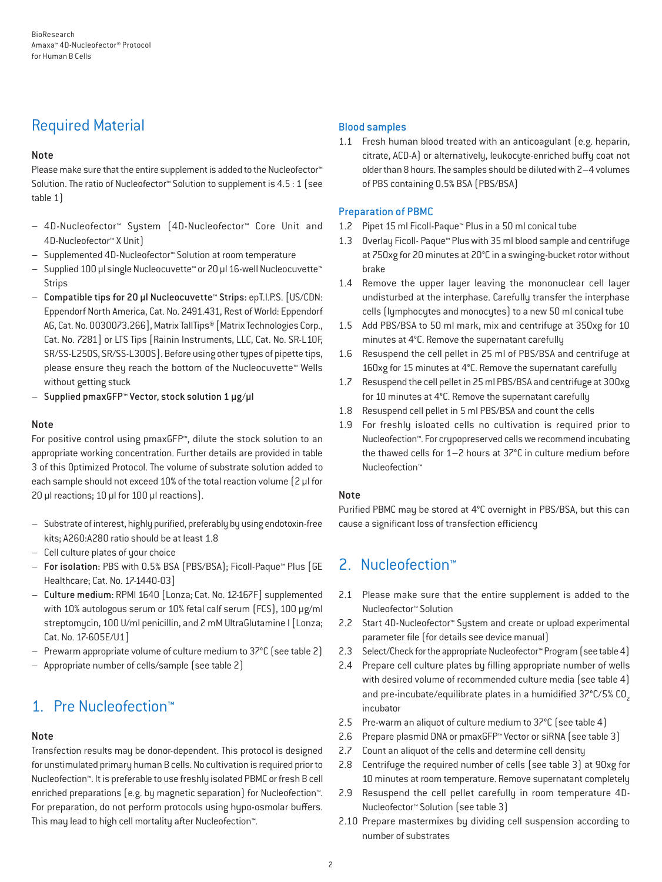## Required Material

#### Note

Please make sure that the entire supplement is added to the Nucleofector<sup>™</sup> Solution. The ratio of Nucleofector™ Solution to supplement is 4.5 : 1 (see table 1)

- 4D-Nucleofector™ System (4D-Nucleofector™ Core Unit and 4D-Nucleofector™ X Unit)
- Supplemented 4D-Nucleofector™ Solution at room temperature
- Supplied 100 µl single Nucleocuvette™ or 20 µl 16-well Nucleocuvette™ Strips
- Compatible tips for 20 µl Nucleocuvette™ Strips: epT.I.P.S. [US/CDN: Eppendorf North America, Cat. No. 2491.431, Rest of World: Eppendorf AG, Cat. No. 0030073.266], Matrix TallTips® [Matrix Technologies Corp., Cat. No. 7281] or LTS Tips [Rainin Instruments, LLC, Cat. No. SR-L10F, SR/SS-L250S, SR/SS-L300S]. Before using other types of pipette tips, please ensure they reach the bottom of the Nucleocuvette™ Wells without getting stuck
- Supplied pmaxGFP™ Vector, stock solution 1 µg/µl

#### Note

For positive control using pmaxGFP™, dilute the stock solution to an appropriate working concentration. Further details are provided in table 3 of this Optimized Protocol. The volume of substrate solution added to each sample should not exceed 10% of the total reaction volume [2 µl for 20 µl reactions; 10 µl for 100 µl reactions).

- Substrate of interest, highly purified, preferably by using endotoxin-free kits; A260:A280 ratio should be at least 1.8
- Cell culture plates of your choice
- For isolation: PBS with 0.5% BSA (PBS/BSA); Ficoll-Paque™ Plus [GE Healthcare; Cat. No. 17-1440-03]
- Culture medium: RPMI 1640 [Lonza; Cat. No. 12-167F] supplemented with 10% autologous serum or 10% fetal calf serum (FCS), 100 μg/ml streptomycin, 100 U/ml penicillin, and 2 mM UltraGlutamine I [Lonza; Cat. No. 17-605E/U1]
- Prewarm appropriate volume of culture medium to 37°C (see table 2)
- Appropriate number of cells/sample (see table 2)

## 1. Pre Nucleofection™

#### Note

Transfection results may be donor-dependent. This protocol is designed for unstimulated primary human B cells. No cultivation is required prior to Nucleofection™. It is preferable to use freshly isolated PBMC or fresh B cell enriched preparations (e.g. by magnetic separation) for Nucleofection™. For preparation, do not perform protocols using hypo-osmolar buffers. This may lead to high cell mortality after Nucleofection™.

#### Blood samples

1.1 Fresh human blood treated with an anticoagulant (e.g. heparin, citrate, ACD-A) or alternatively, leukocyte-enriched buffy coat not older than 8 hours. The samples should be diluted with 2–4 volumes of PBS containing 0.5% BSA (PBS/BSA)

#### Preparation of PBMC

- 1.2 Pipet 15 ml Ficoll-Paque™ Plus in a 50 ml conical tube
- 1.3 Overlay Ficoll- Paque™ Plus with 35 ml blood sample and centrifuge at 750xg for 20 minutes at 20°C in a swinging-bucket rotor without brake
- 1.4 Remove the upper layer leaving the mononuclear cell layer undisturbed at the interphase. Carefully transfer the interphase cells (lymphocytes and monocytes) to a new 50 ml conical tube
- 1.5 Add PBS/BSA to 50 ml mark, mix and centrifuge at 350xg for 10 minutes at 4°C. Remove the supernatant carefully
- 1.6 Resuspend the cell pellet in 25 ml of PBS/BSA and centrifuge at 160xg for 15 minutes at 4°C. Remove the supernatant carefully
- 1.7 Resuspend the cell pellet in 25 ml PBS/BSA and centrifuge at 300xg for 10 minutes at 4°C. Remove the supernatant carefully
- 1.8 Resuspend cell pellet in 5 ml PBS/BSA and count the cells
- 1.9 For freshly isloated cells no cultivation is required prior to Nucleofection™. For crypopreserved cells we recommend incubating the thawed cells for 1–2 hours at 37°C in culture medium before Nucleofection™

#### Note

Purified PBMC may be stored at 4°C overnight in PBS/BSA, but this can cause a significant loss of transfection efficiency

## 2. Nucleofection™

- 2.1 Please make sure that the entire supplement is added to the Nucleofector™ Solution
- 2.2 Start 4D-Nucleofector™ System and create or upload experimental parameter file (for details see device manual)
- 2.3 Select/Check for the appropriate Nucleofector™ Program (see table 4)
- 2.4 Prepare cell culture plates by filling appropriate number of wells with desired volume of recommended culture media (see table 4) and pre-incubate/equilibrate plates in a humidified 37°C/5% CO<sub>2</sub> incubator
- 2.5 Pre-warm an aliquot of culture medium to 37°C (see table 4)
- 2.6 Prepare plasmid DNA or pmaxGFP™ Vector or siRNA (see table 3)
- 2.7 Count an aliquot of the cells and determine cell density
- 2.8 Centrifuge the required number of cells (see table 3) at 90xg for 10 minutes at room temperature. Remove supernatant completely
- 2.9 Resuspend the cell pellet carefully in room temperature 4D-Nucleofector™ Solution (see table 3)
- 2.10 Prepare mastermixes by dividing cell suspension according to number of substrates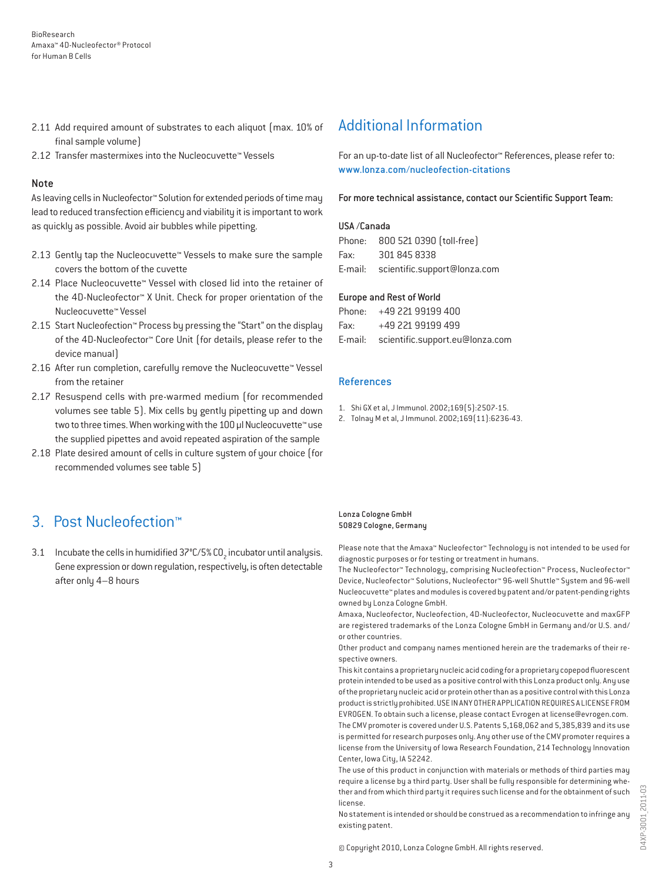- 2.11 Add required amount of substrates to each aliquot (max. 10% of final sample volume)
- 2.12 Transfer mastermixes into the Nucleocuvette™ Vessels

#### Note

As leaving cells in Nucleofector™ Solution for extended periods of time may lead to reduced transfection efficiency and viability it is important to work as quickly as possible. Avoid air bubbles while pipetting.

- 2.13 Gently tap the Nucleocuvette™ Vessels to make sure the sample covers the bottom of the cuvette
- 2.14 Place Nucleocuvette™ Vessel with closed lid into the retainer of the 4D-Nucleofector™ X Unit. Check for proper orientation of the Nucleocuvette™ Vessel
- 2.15 Start Nucleofection™ Process by pressing the "Start" on the display of the 4D-Nucleofector™ Core Unit (for details, please refer to the device manual)
- 2.16 After run completion, carefully remove the Nucleocuvette™ Vessel from the retainer
- 2.17 Resuspend cells with pre-warmed medium (for recommended volumes see table 5). Mix cells by gently pipetting up and down two to three times. When working with the 100 µl Nucleocuvette™ use the supplied pipettes and avoid repeated aspiration of the sample
- 2.18 Plate desired amount of cells in culture system of your choice (for recommended volumes see table 5)

## 3. Post Nucleofection™

3.1 Incubate the cells in humidified 37°C/5% CO<sub>2</sub> incubator until analysis. Gene expression or down regulation, respectively, is often detectable after only 4–8 hours

## Additional Information

For an up-to-date list of all Nucleofector™ References, please refer to: www.lonza.com/nucleofection-citations

For more technical assistance, contact our Scientific Support Team:

#### USA /Canada

|      | Phone: 800 521 0390 (toll-free)      |
|------|--------------------------------------|
| Fax: | 301 845 8338                         |
|      | E-mail: scientific.support@lonza.com |

#### Europe and Rest of World

|          | Phone: +49 221 99199 400                |
|----------|-----------------------------------------|
| Fax: Fax | +49 221 99199 499                       |
|          | E-mail: scientific.support.eu@lonza.com |

#### References

- 1. Shi GX et al, J Immunol. 2002;169(5):2507-15.
- 2. Tolnay M et al, J Immunol. 2002;169(11):6236-43.

#### Lonza Cologne GmbH 50829 Cologne, Germany

Please note that the Amaxa™ Nucleofector™ Technology is not intended to be used for diagnostic purposes or for testing or treatment in humans.

The Nucleofector™ Technology, comprising Nucleofection™ Process, Nucleofector™ Device, Nucleofector™ Solutions, Nucleofector™ 96-well Shuttle™ System and 96-well Nucleocuvette™ plates and modules is covered by patent and/or patent-pending rights owned by Lonza Cologne GmbH.

Amaxa, Nucleofector, Nucleofection, 4D-Nucleofector, Nucleocuvette and maxGFP are registered trademarks of the Lonza Cologne GmbH in Germany and/or U.S. and/ or other countries.

Other product and company names mentioned herein are the trademarks of their respective owners.

This kit contains a proprietary nucleic acid coding for a proprietary copepod fluorescent protein intended to be used as a positive control with this Lonza product only. Any use of the proprietary nucleic acid or protein other than as a positive control with this Lonza product is strictly prohibited. USE IN ANY OTHER APPLICATION REQUIRES A LICENSE FROM EVROGEN. To obtain such a license, please contact Evrogen at license@evrogen.com. The CMV promoter is covered under U.S. Patents 5,168,062 and 5,385,839 and its use is permitted for research purposes only. Any other use of the CMV promoter requires a license from the University of Iowa Research Foundation, 214 Technology Innovation Center, Iowa City, IA 52242.

The use of this product in conjunction with materials or methods of third parties may require a license by a third party. User shall be fully responsible for determining whether and from which third party it requires such license and for the obtainment of such license.

No statement is intended or should be construed as a recommendation to infringe any existing patent.

© Copyright 2010, Lonza Cologne GmbH. All rights reserved.